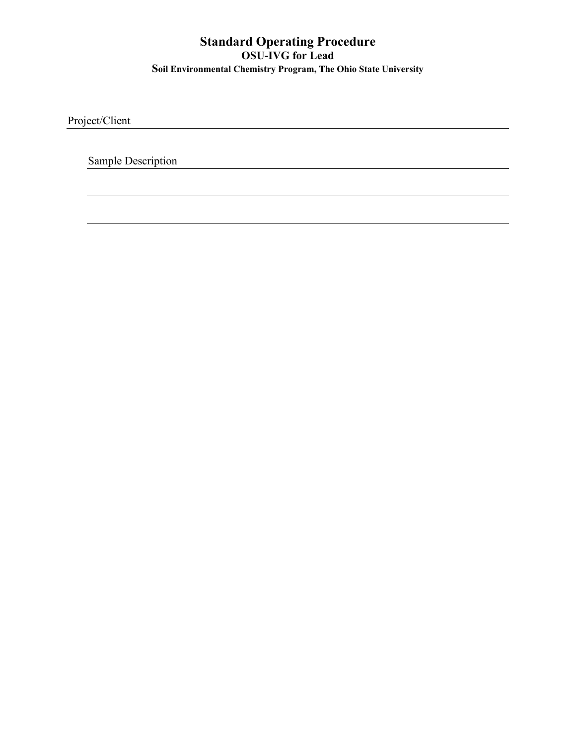Project/Client

Sample Description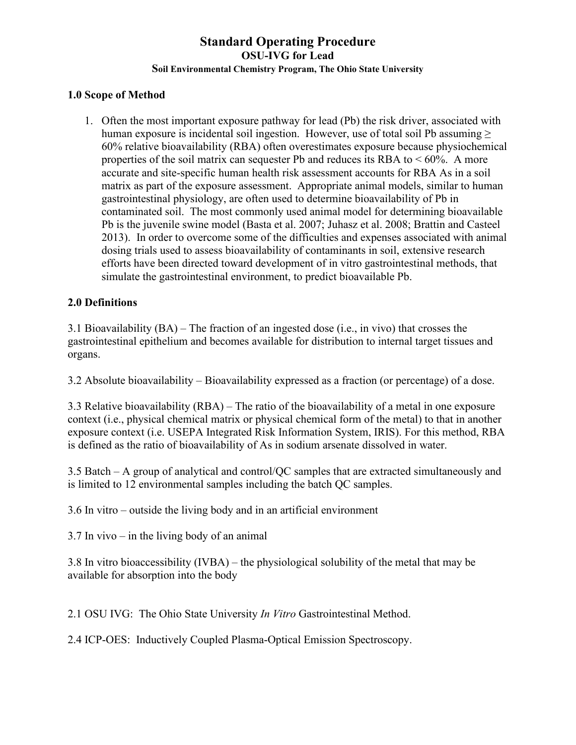#### **1.0 Scope of Method**

1. Often the most important exposure pathway for lead (Pb) the risk driver, associated with human exposure is incidental soil ingestion. However, use of total soil Pb assuming  $\geq$ 60% relative bioavailability (RBA) often overestimates exposure because physiochemical properties of the soil matrix can sequester Pb and reduces its RBA to  $< 60\%$ . A more accurate and site-specific human health risk assessment accounts for RBA As in a soil matrix as part of the exposure assessment. Appropriate animal models, similar to human gastrointestinal physiology, are often used to determine bioavailability of Pb in contaminated soil. The most commonly used animal model for determining bioavailable Pb is the juvenile swine model (Basta et al. 2007; Juhasz et al. 2008; Brattin and Casteel 2013). In order to overcome some of the difficulties and expenses associated with animal dosing trials used to assess bioavailability of contaminants in soil, extensive research efforts have been directed toward development of in vitro gastrointestinal methods, that simulate the gastrointestinal environment, to predict bioavailable Pb.

#### **2.0 Definitions**

3.1 Bioavailability (BA) – The fraction of an ingested dose (i.e., in vivo) that crosses the gastrointestinal epithelium and becomes available for distribution to internal target tissues and organs.

3.2 Absolute bioavailability – Bioavailability expressed as a fraction (or percentage) of a dose.

3.3 Relative bioavailability (RBA) – The ratio of the bioavailability of a metal in one exposure context (i.e., physical chemical matrix or physical chemical form of the metal) to that in another exposure context (i.e. USEPA Integrated Risk Information System, IRIS). For this method, RBA is defined as the ratio of bioavailability of As in sodium arsenate dissolved in water.

3.5 Batch – A group of analytical and control/QC samples that are extracted simultaneously and is limited to 12 environmental samples including the batch QC samples.

3.6 In vitro – outside the living body and in an artificial environment

3.7 In vivo – in the living body of an animal

3.8 In vitro bioaccessibility (IVBA) – the physiological solubility of the metal that may be available for absorption into the body

2.1 OSU IVG: The Ohio State University *In Vitro* Gastrointestinal Method.

2.4 ICP-OES: Inductively Coupled Plasma-Optical Emission Spectroscopy.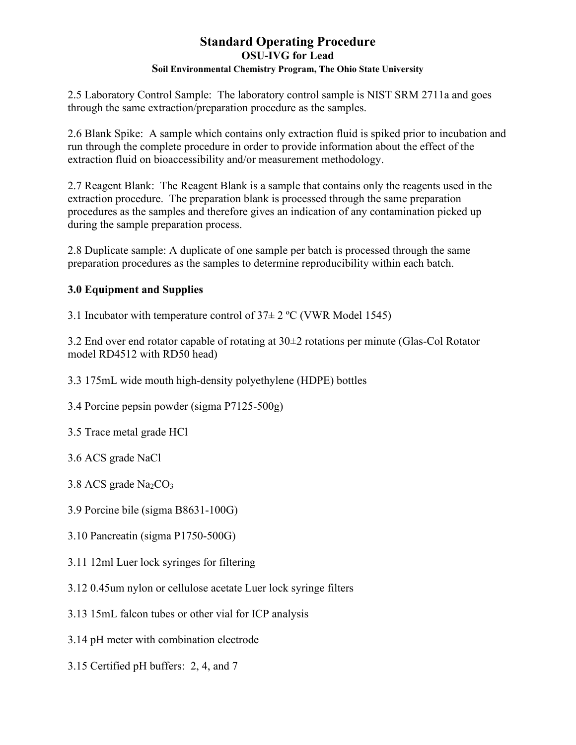#### **Soil Environmental Chemistry Program, The Ohio State University**

2.5 Laboratory Control Sample: The laboratory control sample is NIST SRM 2711a and goes through the same extraction/preparation procedure as the samples.

2.6 Blank Spike: A sample which contains only extraction fluid is spiked prior to incubation and run through the complete procedure in order to provide information about the effect of the extraction fluid on bioaccessibility and/or measurement methodology.

2.7 Reagent Blank: The Reagent Blank is a sample that contains only the reagents used in the extraction procedure. The preparation blank is processed through the same preparation procedures as the samples and therefore gives an indication of any contamination picked up during the sample preparation process.

2.8 Duplicate sample: A duplicate of one sample per batch is processed through the same preparation procedures as the samples to determine reproducibility within each batch.

### **3.0 Equipment and Supplies**

3.1 Incubator with temperature control of  $37\pm 2$  °C (VWR Model 1545)

3.2 End over end rotator capable of rotating at 30±2 rotations per minute (Glas-Col Rotator model RD4512 with RD50 head)

3.3 175mL wide mouth high-density polyethylene (HDPE) bottles

3.4 Porcine pepsin powder (sigma P7125-500g)

3.5 Trace metal grade HCl

3.6 ACS grade NaCl

3.8 ACS grade  $Na<sub>2</sub>CO<sub>3</sub>$ 

- 3.9 Porcine bile (sigma B8631-100G)
- 3.10 Pancreatin (sigma P1750-500G)
- 3.11 12ml Luer lock syringes for filtering
- 3.12 0.45um nylon or cellulose acetate Luer lock syringe filters
- 3.13 15mL falcon tubes or other vial for ICP analysis
- 3.14 pH meter with combination electrode
- 3.15 Certified pH buffers: 2, 4, and 7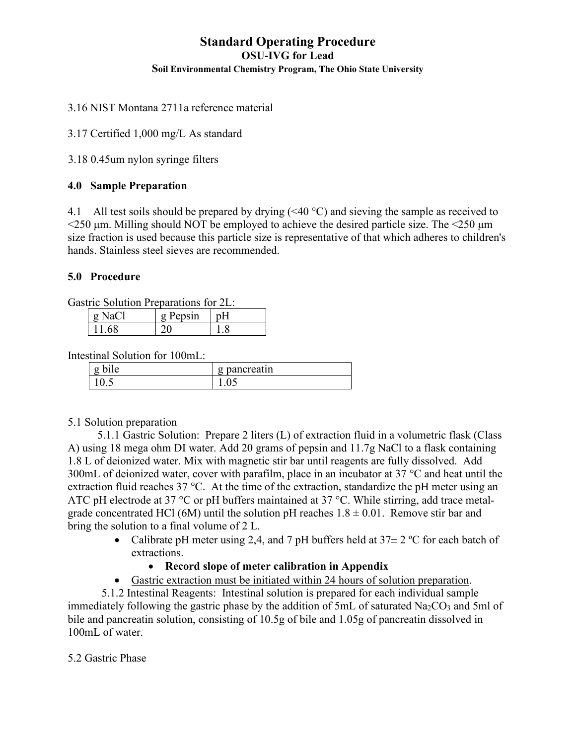**Soil Environmental Chemistry Program, The Ohio State University**

3.16 NIST Montana 2711a reference material

3.17 Certified 1,000 mg/L As standard

3.18 0.45um nylon syringe filters

#### **4.0 Sample Preparation**

4.1 All test soils should be prepared by drying  $( $40 \degree C$ )$  and sieving the sample as received to  $\leq$ 250 μm. Milling should NOT be employed to achieve the desired particle size. The  $\leq$ 250 μm size fraction is used because this particle size is representative of that which adheres to children's hands. Stainless steel sieves are recommended.

#### **5.0 Procedure**

Gastric Solution Preparations for 2L:

| $\sigma$ | g Pepsin |  |
|----------|----------|--|
| 1.68     |          |  |

Intestinal Solution for 100mL:

| .<br>$\alpha$ b<br>ັ | pancreatin |
|----------------------|------------|
| 10.5                 | 1.VJ       |

#### 5.1 Solution preparation

5.1.1 Gastric Solution: Prepare 2 liters (L) of extraction fluid in a volumetric flask (Class A) using 18 mega ohm DI water. Add 20 grams of pepsin and 11.7g NaCl to a flask containing 1.8 L of deionized water. Mix with magnetic stir bar until reagents are fully dissolved. Add 300mL of deionized water, cover with parafilm, place in an incubator at 37 °C and heat until the extraction fluid reaches  $37^{\circ}$ C. At the time of the extraction, standardize the pH meter using an ATC pH electrode at 37 °C or pH buffers maintained at 37 °C. While stirring, add trace metalgrade concentrated HCl (6M) until the solution pH reaches  $1.8 \pm 0.01$ . Remove stir bar and bring the solution to a final volume of 2 L.

> • Calibrate pH meter using 2,4, and 7 pH buffers held at  $37\pm 2$  °C for each batch of extractions.

#### • **Record slope of meter calibration in Appendix**

• Gastric extraction must be initiated within 24 hours of solution preparation.

5.1.2 Intestinal Reagents: Intestinal solution is prepared for each individual sample immediately following the gastric phase by the addition of 5mL of saturated  $Na<sub>2</sub>CO<sub>3</sub>$  and 5ml of bile and pancreatin solution, consisting of 10.5g of bile and 1.05g of pancreatin dissolved in 100mL of water.

5.2 Gastric Phase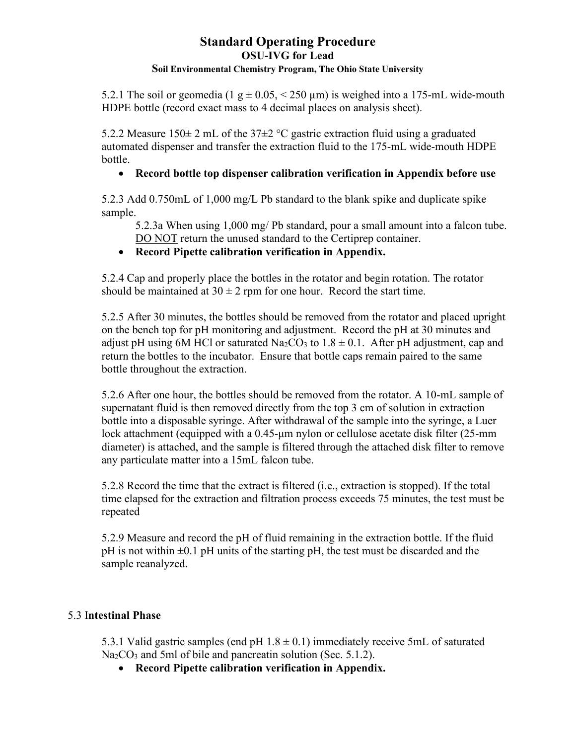#### **Soil Environmental Chemistry Program, The Ohio State University**

5.2.1 The soil or geomedia (1 g  $\pm$  0.05, < 250 µm) is weighed into a 175-mL wide-mouth HDPE bottle (record exact mass to 4 decimal places on analysis sheet).

5.2.2 Measure  $150 \pm 2$  mL of the  $37 \pm 2$  °C gastric extraction fluid using a graduated automated dispenser and transfer the extraction fluid to the 175-mL wide-mouth HDPE bottle.

#### • **Record bottle top dispenser calibration verification in Appendix before use**

5.2.3 Add 0.750mL of 1,000 mg/L Pb standard to the blank spike and duplicate spike sample.

5.2.3a When using 1,000 mg/ Pb standard, pour a small amount into a falcon tube. DO NOT return the unused standard to the Certiprep container.

• **Record Pipette calibration verification in Appendix.**

5.2.4 Cap and properly place the bottles in the rotator and begin rotation. The rotator should be maintained at  $30 \pm 2$  rpm for one hour. Record the start time.

5.2.5 After 30 minutes, the bottles should be removed from the rotator and placed upright on the bench top for pH monitoring and adjustment. Record the pH at 30 minutes and adjust pH using 6M HCl or saturated Na<sub>2</sub>CO<sub>3</sub> to 1.8  $\pm$  0.1. After pH adjustment, cap and return the bottles to the incubator. Ensure that bottle caps remain paired to the same bottle throughout the extraction.

5.2.6 After one hour, the bottles should be removed from the rotator. A 10-mL sample of supernatant fluid is then removed directly from the top 3 cm of solution in extraction bottle into a disposable syringe. After withdrawal of the sample into the syringe, a Luer lock attachment (equipped with a 0.45-μm nylon or cellulose acetate disk filter (25-mm diameter) is attached, and the sample is filtered through the attached disk filter to remove any particulate matter into a 15mL falcon tube.

5.2.8 Record the time that the extract is filtered (i.e., extraction is stopped). If the total time elapsed for the extraction and filtration process exceeds 75 minutes, the test must be repeated

5.2.9 Measure and record the pH of fluid remaining in the extraction bottle. If the fluid  $pH$  is not within  $\pm 0.1$  pH units of the starting pH, the test must be discarded and the sample reanalyzed.

#### 5.3 I**ntestinal Phase**

5.3.1 Valid gastric samples (end pH  $1.8 \pm 0.1$ ) immediately receive 5mL of saturated Na<sub>2</sub>CO<sub>3</sub> and 5ml of bile and pancreatin solution (Sec. 5.1.2).

• **Record Pipette calibration verification in Appendix.**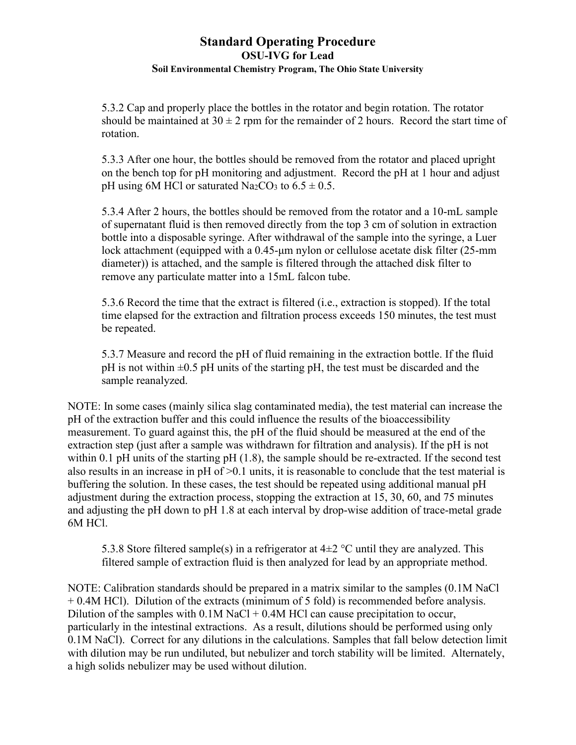5.3.2 Cap and properly place the bottles in the rotator and begin rotation. The rotator should be maintained at  $30 \pm 2$  rpm for the remainder of 2 hours. Record the start time of rotation.

5.3.3 After one hour, the bottles should be removed from the rotator and placed upright on the bench top for pH monitoring and adjustment. Record the pH at 1 hour and adjust pH using 6M HCl or saturated Na<sub>2</sub>CO<sub>3</sub> to  $6.5 \pm 0.5$ .

5.3.4 After 2 hours, the bottles should be removed from the rotator and a 10-mL sample of supernatant fluid is then removed directly from the top 3 cm of solution in extraction bottle into a disposable syringe. After withdrawal of the sample into the syringe, a Luer lock attachment (equipped with a 0.45-μm nylon or cellulose acetate disk filter (25-mm diameter)) is attached, and the sample is filtered through the attached disk filter to remove any particulate matter into a 15mL falcon tube.

5.3.6 Record the time that the extract is filtered (i.e., extraction is stopped). If the total time elapsed for the extraction and filtration process exceeds 150 minutes, the test must be repeated.

5.3.7 Measure and record the pH of fluid remaining in the extraction bottle. If the fluid pH is not within  $\pm 0.5$  pH units of the starting pH, the test must be discarded and the sample reanalyzed.

NOTE: In some cases (mainly silica slag contaminated media), the test material can increase the pH of the extraction buffer and this could influence the results of the bioaccessibility measurement. To guard against this, the pH of the fluid should be measured at the end of the extraction step (just after a sample was withdrawn for filtration and analysis). If the pH is not within 0.1 pH units of the starting pH (1.8), the sample should be re-extracted. If the second test also results in an increase in pH of >0.1 units, it is reasonable to conclude that the test material is buffering the solution. In these cases, the test should be repeated using additional manual pH adjustment during the extraction process, stopping the extraction at 15, 30, 60, and 75 minutes and adjusting the pH down to pH 1.8 at each interval by drop-wise addition of trace-metal grade 6M HCl.

5.3.8 Store filtered sample(s) in a refrigerator at  $4\pm 2$  °C until they are analyzed. This filtered sample of extraction fluid is then analyzed for lead by an appropriate method.

NOTE: Calibration standards should be prepared in a matrix similar to the samples (0.1M NaCl + 0.4M HCl). Dilution of the extracts (minimum of 5 fold) is recommended before analysis. Dilution of the samples with  $0.1M$  NaCl + 0.4M HCl can cause precipitation to occur, particularly in the intestinal extractions. As a result, dilutions should be performed using only 0.1M NaCl). Correct for any dilutions in the calculations. Samples that fall below detection limit with dilution may be run undiluted, but nebulizer and torch stability will be limited. Alternately, a high solids nebulizer may be used without dilution.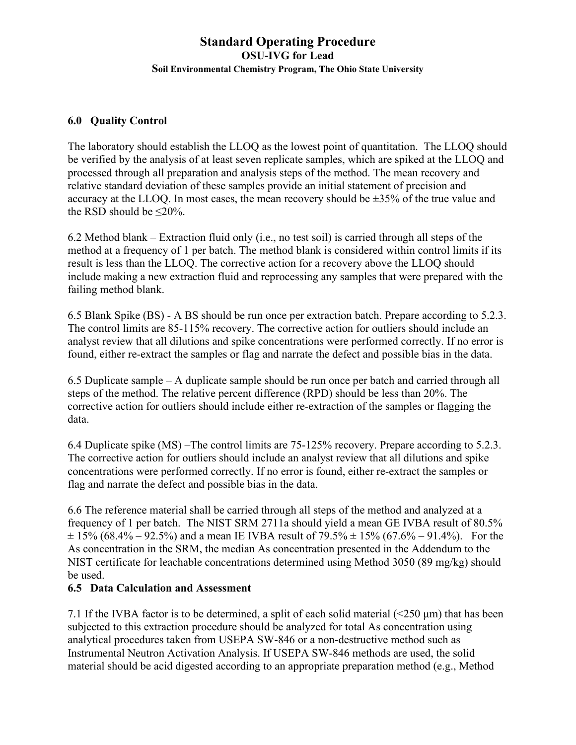#### **6.0 Quality Control**

The laboratory should establish the LLOQ as the lowest point of quantitation. The LLOQ should be verified by the analysis of at least seven replicate samples, which are spiked at the LLOQ and processed through all preparation and analysis steps of the method. The mean recovery and relative standard deviation of these samples provide an initial statement of precision and accuracy at the LLOQ. In most cases, the mean recovery should be ±35% of the true value and the RSD should be  $\leq$ 20%.

6.2 Method blank – Extraction fluid only (i.e., no test soil) is carried through all steps of the method at a frequency of 1 per batch. The method blank is considered within control limits if its result is less than the LLOQ. The corrective action for a recovery above the LLOQ should include making a new extraction fluid and reprocessing any samples that were prepared with the failing method blank.

6.5 Blank Spike (BS) - A BS should be run once per extraction batch. Prepare according to 5.2.3. The control limits are 85-115% recovery. The corrective action for outliers should include an analyst review that all dilutions and spike concentrations were performed correctly. If no error is found, either re-extract the samples or flag and narrate the defect and possible bias in the data.

6.5 Duplicate sample – A duplicate sample should be run once per batch and carried through all steps of the method. The relative percent difference (RPD) should be less than 20%. The corrective action for outliers should include either re-extraction of the samples or flagging the data.

6.4 Duplicate spike (MS) –The control limits are 75-125% recovery. Prepare according to 5.2.3. The corrective action for outliers should include an analyst review that all dilutions and spike concentrations were performed correctly. If no error is found, either re-extract the samples or flag and narrate the defect and possible bias in the data.

6.6 The reference material shall be carried through all steps of the method and analyzed at a frequency of 1 per batch. The NIST SRM 2711a should yield a mean GE IVBA result of 80.5%  $\pm$  15% (68.4% – 92.5%) and a mean IE IVBA result of 79.5%  $\pm$  15% (67.6% – 91.4%). For the As concentration in the SRM, the median As concentration presented in the Addendum to the NIST certificate for leachable concentrations determined using Method 3050 (89 mg/kg) should be used.

#### **6.5 Data Calculation and Assessment**

7.1 If the IVBA factor is to be determined, a split of each solid material (<250 μm) that has been subjected to this extraction procedure should be analyzed for total As concentration using analytical procedures taken from USEPA SW-846 or a non-destructive method such as Instrumental Neutron Activation Analysis. If USEPA SW-846 methods are used, the solid material should be acid digested according to an appropriate preparation method (e.g., Method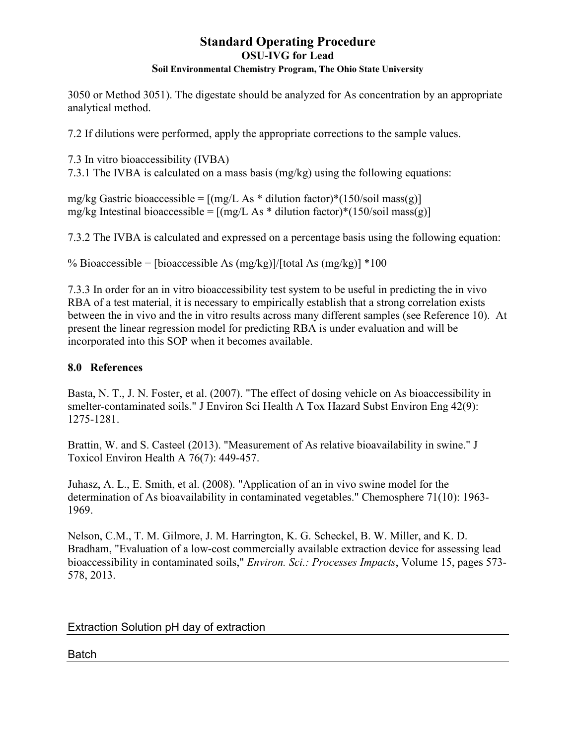**Soil Environmental Chemistry Program, The Ohio State University**

3050 or Method 3051). The digestate should be analyzed for As concentration by an appropriate analytical method.

7.2 If dilutions were performed, apply the appropriate corrections to the sample values.

7.3 In vitro bioaccessibility (IVBA) 7.3.1 The IVBA is calculated on a mass basis (mg/kg) using the following equations:

mg/kg Gastric bioaccessible =  $[(mg/L As * dilution factor)*(150/soil mass(g)]$ mg/kg Intestinal bioaccessible =  $[(mg/L As * dilution factor)*(150/soil mass(g)]$ 

7.3.2 The IVBA is calculated and expressed on a percentage basis using the following equation:

% Bioaccessible = [bioaccessible As  $(mg/kg)/[total As (mg/kg)] *100$ 

7.3.3 In order for an in vitro bioaccessibility test system to be useful in predicting the in vivo RBA of a test material, it is necessary to empirically establish that a strong correlation exists between the in vivo and the in vitro results across many different samples (see Reference 10). At present the linear regression model for predicting RBA is under evaluation and will be incorporated into this SOP when it becomes available.

## **8.0 References**

Basta, N. T., J. N. Foster, et al. (2007). "The effect of dosing vehicle on As bioaccessibility in smelter-contaminated soils." J Environ Sci Health A Tox Hazard Subst Environ Eng 42(9): 1275-1281.

Brattin, W. and S. Casteel (2013). "Measurement of As relative bioavailability in swine." J Toxicol Environ Health A 76(7): 449-457.

Juhasz, A. L., E. Smith, et al. (2008). "Application of an in vivo swine model for the determination of As bioavailability in contaminated vegetables." Chemosphere 71(10): 1963- 1969.

Nelson, C.M., T. M. Gilmore, J. M. Harrington, K. G. Scheckel, B. W. Miller, and K. D. Bradham, "Evaluation of a low-cost commercially available extraction device for assessing lead bioaccessibility in contaminated soils," *Environ. Sci.: Processes Impacts*, Volume 15, pages 573- 578, 2013.

Extraction Solution pH day of extraction

Batch